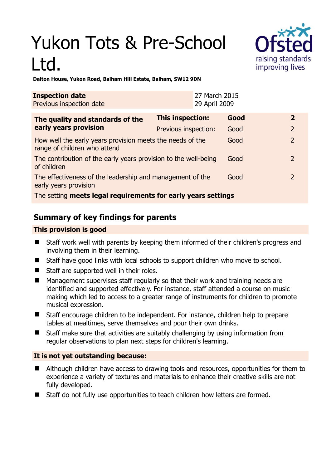# Yukon Tots & Pre-School Ltd.



**Dalton House, Yukon Road, Balham Hill Estate, Balham, SW12 9DN** 

| <b>Inspection date</b><br>Previous inspection date                                        |                         | 27 March 2015<br>29 April 2009 |      |                |
|-------------------------------------------------------------------------------------------|-------------------------|--------------------------------|------|----------------|
| The quality and standards of the<br>early years provision                                 | <b>This inspection:</b> |                                | Good | $\mathbf{2}$   |
|                                                                                           | Previous inspection:    |                                | Good | 2              |
| How well the early years provision meets the needs of the<br>range of children who attend |                         |                                | Good | $\overline{2}$ |
| The contribution of the early years provision to the well-being<br>of children            |                         |                                | Good | $\mathcal{P}$  |
| The effectiveness of the leadership and management of the<br>early years provision        |                         |                                | Good | $\mathcal{P}$  |
| The setting meets legal requirements for early years settings                             |                         |                                |      |                |

# **Summary of key findings for parents**

### **This provision is good**

- Staff work well with parents by keeping them informed of their children's progress and involving them in their learning.
- Staff have good links with local schools to support children who move to school.
- Staff are supported well in their roles.
- Management supervises staff regularly so that their work and training needs are identified and supported effectively. For instance, staff attended a course on music making which led to access to a greater range of instruments for children to promote musical expression.
- Staff encourage children to be independent. For instance, children help to prepare tables at mealtimes, serve themselves and pour their own drinks.
- Staff make sure that activities are suitably challenging by using information from regular observations to plan next steps for children's learning.

## **It is not yet outstanding because:**

- Although children have access to drawing tools and resources, opportunities for them to experience a variety of textures and materials to enhance their creative skills are not fully developed.
- Staff do not fully use opportunities to teach children how letters are formed.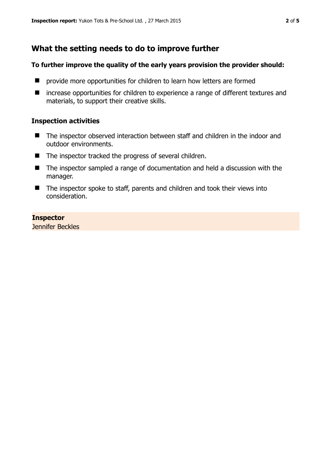# **What the setting needs to do to improve further**

#### **To further improve the quality of the early years provision the provider should:**

- $\blacksquare$  provide more opportunities for children to learn how letters are formed
- increase opportunities for children to experience a range of different textures and materials, to support their creative skills.

#### **Inspection activities**

- The inspector observed interaction between staff and children in the indoor and outdoor environments.
- The inspector tracked the progress of several children.
- The inspector sampled a range of documentation and held a discussion with the manager.
- The inspector spoke to staff, parents and children and took their views into consideration.

#### **Inspector**

Jennifer Beckles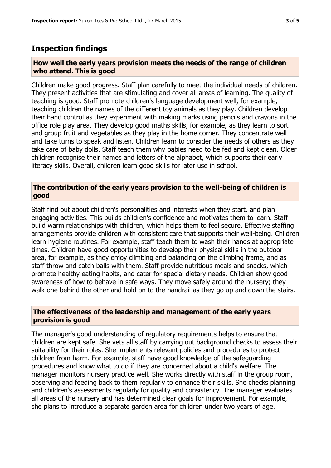## **Inspection findings**

#### **How well the early years provision meets the needs of the range of children who attend. This is good**

Children make good progress. Staff plan carefully to meet the individual needs of children. They present activities that are stimulating and cover all areas of learning. The quality of teaching is good. Staff promote children's language development well, for example, teaching children the names of the different toy animals as they play. Children develop their hand control as they experiment with making marks using pencils and crayons in the office role play area. They develop good maths skills, for example, as they learn to sort and group fruit and vegetables as they play in the home corner. They concentrate well and take turns to speak and listen. Children learn to consider the needs of others as they take care of baby dolls. Staff teach them why babies need to be fed and kept clean. Older children recognise their names and letters of the alphabet, which supports their early literacy skills. Overall, children learn good skills for later use in school.

#### **The contribution of the early years provision to the well-being of children is good**

Staff find out about children's personalities and interests when they start, and plan engaging activities. This builds children's confidence and motivates them to learn. Staff build warm relationships with children, which helps them to feel secure. Effective staffing arrangements provide children with consistent care that supports their well-being. Children learn hygiene routines. For example, staff teach them to wash their hands at appropriate times. Children have good opportunities to develop their physical skills in the outdoor area, for example, as they enjoy climbing and balancing on the climbing frame, and as staff throw and catch balls with them. Staff provide nutritious meals and snacks, which promote healthy eating habits, and cater for special dietary needs. Children show good awareness of how to behave in safe ways. They move safely around the nursery; they walk one behind the other and hold on to the handrail as they go up and down the stairs.

#### **The effectiveness of the leadership and management of the early years provision is good**

The manager's good understanding of regulatory requirements helps to ensure that children are kept safe. She vets all staff by carrying out background checks to assess their suitability for their roles. She implements relevant policies and procedures to protect children from harm. For example, staff have good knowledge of the safeguarding procedures and know what to do if they are concerned about a child's welfare. The manager monitors nursery practice well. She works directly with staff in the group room, observing and feeding back to them regularly to enhance their skills. She checks planning and children's assessments regularly for quality and consistency. The manager evaluates all areas of the nursery and has determined clear goals for improvement. For example, she plans to introduce a separate garden area for children under two years of age.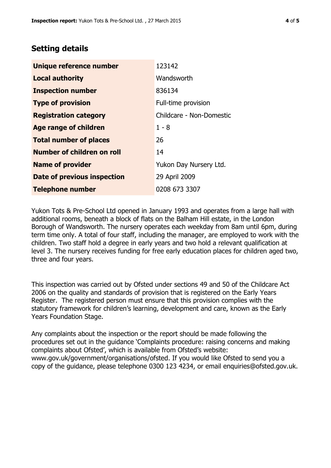## **Setting details**

| Unique reference number       | 123142                   |  |
|-------------------------------|--------------------------|--|
| <b>Local authority</b>        | Wandsworth               |  |
| <b>Inspection number</b>      | 836134                   |  |
| <b>Type of provision</b>      | Full-time provision      |  |
| <b>Registration category</b>  | Childcare - Non-Domestic |  |
| <b>Age range of children</b>  | $1 - 8$                  |  |
| <b>Total number of places</b> | 26                       |  |
| Number of children on roll    | 14                       |  |
| <b>Name of provider</b>       | Yukon Day Nursery Ltd.   |  |
| Date of previous inspection   | 29 April 2009            |  |
| <b>Telephone number</b>       | 0208 673 3307            |  |

Yukon Tots & Pre-School Ltd opened in January 1993 and operates from a large hall with additional rooms, beneath a block of flats on the Balham Hill estate, in the London Borough of Wandsworth. The nursery operates each weekday from 8am until 6pm, during term time only. A total of four staff, including the manager, are employed to work with the children. Two staff hold a degree in early years and two hold a relevant qualification at level 3. The nursery receives funding for free early education places for children aged two, three and four years.

This inspection was carried out by Ofsted under sections 49 and 50 of the Childcare Act 2006 on the quality and standards of provision that is registered on the Early Years Register. The registered person must ensure that this provision complies with the statutory framework for children's learning, development and care, known as the Early Years Foundation Stage.

Any complaints about the inspection or the report should be made following the procedures set out in the guidance 'Complaints procedure: raising concerns and making complaints about Ofsted', which is available from Ofsted's website: www.gov.uk/government/organisations/ofsted. If you would like Ofsted to send you a copy of the guidance, please telephone 0300 123 4234, or email enquiries@ofsted.gov.uk.